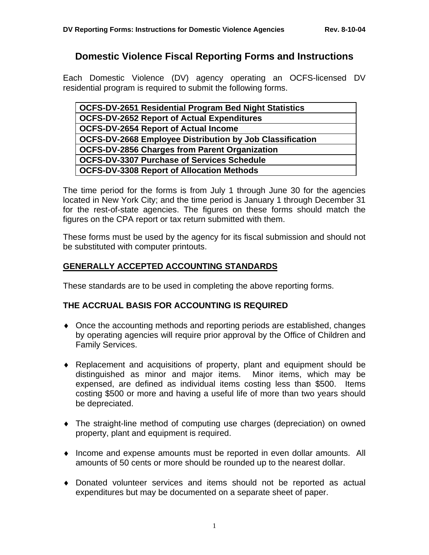# **Domestic Violence Fiscal Reporting Forms and Instructions**

Each Domestic Violence (DV) agency operating an OCFS-licensed DV residential program is required to submit the following forms.

| <b>OCFS-DV-2651 Residential Program Bed Night Statistics</b>    |
|-----------------------------------------------------------------|
| <b>OCFS-DV-2652 Report of Actual Expenditures</b>               |
| <b>OCFS-DV-2654 Report of Actual Income</b>                     |
| <b>OCFS-DV-2668 Employee Distribution by Job Classification</b> |
| <b>OCFS-DV-2856 Charges from Parent Organization</b>            |
| <b>OCFS-DV-3307 Purchase of Services Schedule</b>               |
| <b>OCFS-DV-3308 Report of Allocation Methods</b>                |
|                                                                 |

The time period for the forms is from July 1 through June 30 for the agencies located in New York City; and the time period is January 1 through December 31 for the rest-of-state agencies. The figures on these forms should match the figures on the CPA report or tax return submitted with them.

These forms must be used by the agency for its fiscal submission and should not be substituted with computer printouts.

### **GENERALLY ACCEPTED ACCOUNTING STANDARDS**

These standards are to be used in completing the above reporting forms.

### **THE ACCRUAL BASIS FOR ACCOUNTING IS REQUIRED**

- ♦ Once the accounting methods and reporting periods are established, changes by operating agencies will require prior approval by the Office of Children and Family Services.
- ♦ Replacement and acquisitions of property, plant and equipment should be distinguished as minor and major items. Minor items, which may be expensed, are defined as individual items costing less than \$500. Items costing \$500 or more and having a useful life of more than two years should be depreciated.
- ♦ The straight-line method of computing use charges (depreciation) on owned property, plant and equipment is required.
- ♦ Income and expense amounts must be reported in even dollar amounts. All amounts of 50 cents or more should be rounded up to the nearest dollar.
- ♦ Donated volunteer services and items should not be reported as actual expenditures but may be documented on a separate sheet of paper.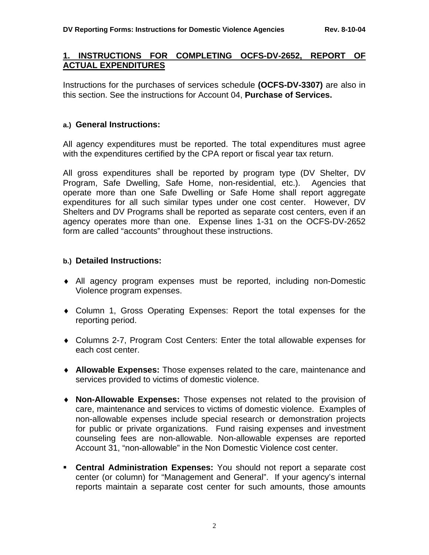### **1. INSTRUCTIONS FOR COMPLETING OCFS-DV-2652, REPORT OF ACTUAL EXPENDITURES**

Instructions for the purchases of services schedule **(OCFS-DV-3307)** are also in this section. See the instructions for Account 04, **Purchase of Services.**

#### **a.) General Instructions:**

All agency expenditures must be reported. The total expenditures must agree with the expenditures certified by the CPA report or fiscal year tax return.

All gross expenditures shall be reported by program type (DV Shelter, DV Program, Safe Dwelling, Safe Home, non-residential, etc.). Agencies that operate more than one Safe Dwelling or Safe Home shall report aggregate expenditures for all such similar types under one cost center. However, DV Shelters and DV Programs shall be reported as separate cost centers, even if an agency operates more than one. Expense lines 1-31 on the OCFS-DV-2652 form are called "accounts" throughout these instructions.

### **b.) Detailed Instructions:**

- ♦ All agency program expenses must be reported, including non-Domestic Violence program expenses.
- ♦ Column 1, Gross Operating Expenses: Report the total expenses for the reporting period.
- ♦ Columns 2-7, Program Cost Centers: Enter the total allowable expenses for each cost center.
- ♦ **Allowable Expenses:** Those expenses related to the care, maintenance and services provided to victims of domestic violence.
- ♦ **Non-Allowable Expenses:** Those expenses not related to the provision of care, maintenance and services to victims of domestic violence. Examples of non-allowable expenses include special research or demonstration projects for public or private organizations. Fund raising expenses and investment counseling fees are non-allowable. Non-allowable expenses are reported Account 31, "non-allowable" in the Non Domestic Violence cost center.
- ! **Central Administration Expenses:** You should not report a separate cost center (or column) for "Management and General". If your agency's internal reports maintain a separate cost center for such amounts, those amounts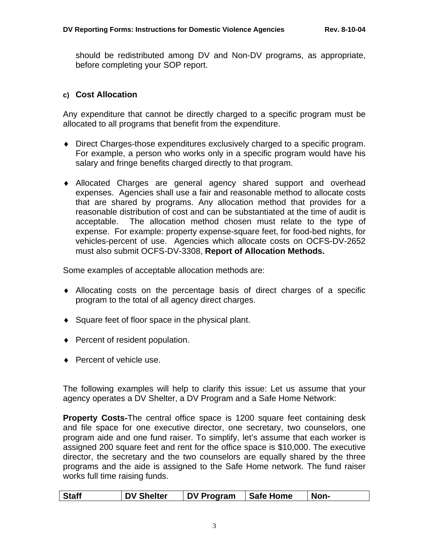should be redistributed among DV and Non-DV programs, as appropriate, before completing your SOP report.

### **c) Cost Allocation**

Any expenditure that cannot be directly charged to a specific program must be allocated to all programs that benefit from the expenditure.

- ♦ Direct Charges-those expenditures exclusively charged to a specific program. For example, a person who works only in a specific program would have his salary and fringe benefits charged directly to that program.
- ♦ Allocated Charges are general agency shared support and overhead expenses. Agencies shall use a fair and reasonable method to allocate costs that are shared by programs. Any allocation method that provides for a reasonable distribution of cost and can be substantiated at the time of audit is acceptable. The allocation method chosen must relate to the type of expense. For example: property expense-square feet, for food-bed nights, for vehicles-percent of use. Agencies which allocate costs on OCFS-DV-2652 must also submit OCFS-DV-3308, **Report of Allocation Methods.**

Some examples of acceptable allocation methods are:

- ♦ Allocating costs on the percentage basis of direct charges of a specific program to the total of all agency direct charges.
- ♦ Square feet of floor space in the physical plant.
- ♦ Percent of resident population.
- ◆ Percent of vehicle use.

The following examples will help to clarify this issue: Let us assume that your agency operates a DV Shelter, a DV Program and a Safe Home Network:

**Property Costs-**The central office space is 1200 square feet containing desk and file space for one executive director, one secretary, two counselors, one program aide and one fund raiser. To simplify, let's assume that each worker is assigned 200 square feet and rent for the office space is \$10,000. The executive director, the secretary and the two counselors are equally shared by the three programs and the aide is assigned to the Safe Home network. The fund raiser works full time raising funds.

|  |  | <b>Staff</b> | <b>DV Shelter</b> | DV Program | Safe Home | Non- |
|--|--|--------------|-------------------|------------|-----------|------|
|--|--|--------------|-------------------|------------|-----------|------|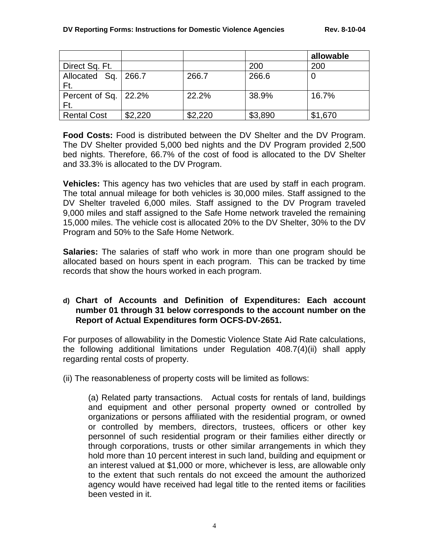|                                |         |         |         | allowable |
|--------------------------------|---------|---------|---------|-----------|
| Direct Sq. Ft.                 |         |         | 200     | 200       |
| Allocated Sq.   266.7<br>Ft.   |         | 266.7   | 266.6   |           |
| Percent of Sq. $ 22.2%$<br>Ft. |         | 22.2%   | 38.9%   | 16.7%     |
| <b>Rental Cost</b>             | \$2,220 | \$2,220 | \$3,890 | \$1,670   |

**Food Costs:** Food is distributed between the DV Shelter and the DV Program. The DV Shelter provided 5,000 bed nights and the DV Program provided 2,500 bed nights. Therefore, 66.7% of the cost of food is allocated to the DV Shelter and 33.3% is allocated to the DV Program.

**Vehicles:** This agency has two vehicles that are used by staff in each program. The total annual mileage for both vehicles is 30,000 miles. Staff assigned to the DV Shelter traveled 6,000 miles. Staff assigned to the DV Program traveled 9,000 miles and staff assigned to the Safe Home network traveled the remaining 15,000 miles. The vehicle cost is allocated 20% to the DV Shelter, 30% to the DV Program and 50% to the Safe Home Network.

**Salaries:** The salaries of staff who work in more than one program should be allocated based on hours spent in each program. This can be tracked by time records that show the hours worked in each program.

## **d) Chart of Accounts and Definition of Expenditures: Each account number 01 through 31 below corresponds to the account number on the Report of Actual Expenditures form OCFS-DV-2651.**

For purposes of allowability in the Domestic Violence State Aid Rate calculations, the following additional limitations under Regulation 408.7(4)(ii) shall apply regarding rental costs of property.

(ii) The reasonableness of property costs will be limited as follows:

(a) Related party transactions. Actual costs for rentals of land, buildings and equipment and other personal property owned or controlled by organizations or persons affiliated with the residential program, or owned or controlled by members, directors, trustees, officers or other key personnel of such residential program or their families either directly or through corporations, trusts or other similar arrangements in which they hold more than 10 percent interest in such land, building and equipment or an interest valued at \$1,000 or more, whichever is less, are allowable only to the extent that such rentals do not exceed the amount the authorized agency would have received had legal title to the rented items or facilities been vested in it.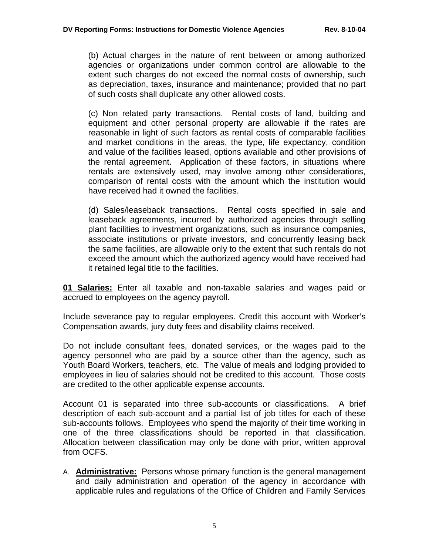(b) Actual charges in the nature of rent between or among authorized agencies or organizations under common control are allowable to the extent such charges do not exceed the normal costs of ownership, such as depreciation, taxes, insurance and maintenance; provided that no part of such costs shall duplicate any other allowed costs.

(c) Non related party transactions. Rental costs of land, building and equipment and other personal property are allowable if the rates are reasonable in light of such factors as rental costs of comparable facilities and market conditions in the areas, the type, life expectancy, condition and value of the facilities leased, options available and other provisions of the rental agreement. Application of these factors, in situations where rentals are extensively used, may involve among other considerations, comparison of rental costs with the amount which the institution would have received had it owned the facilities.

(d) Sales/leaseback transactions. Rental costs specified in sale and leaseback agreements, incurred by authorized agencies through selling plant facilities to investment organizations, such as insurance companies, associate institutions or private investors, and concurrently leasing back the same facilities, are allowable only to the extent that such rentals do not exceed the amount which the authorized agency would have received had it retained legal title to the facilities.

**01 Salaries:** Enter all taxable and non-taxable salaries and wages paid or accrued to employees on the agency payroll.

Include severance pay to regular employees. Credit this account with Worker's Compensation awards, jury duty fees and disability claims received.

Do not include consultant fees, donated services, or the wages paid to the agency personnel who are paid by a source other than the agency, such as Youth Board Workers, teachers, etc. The value of meals and lodging provided to employees in lieu of salaries should not be credited to this account. Those costs are credited to the other applicable expense accounts.

Account 01 is separated into three sub-accounts or classifications. A brief description of each sub-account and a partial list of job titles for each of these sub-accounts follows. Employees who spend the majority of their time working in one of the three classifications should be reported in that classification. Allocation between classification may only be done with prior, written approval from OCFS.

A. **Administrative:** Persons whose primary function is the general management and daily administration and operation of the agency in accordance with applicable rules and regulations of the Office of Children and Family Services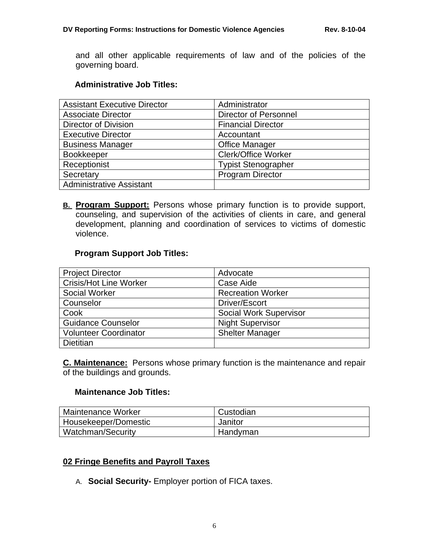and all other applicable requirements of law and of the policies of the governing board.

### **Administrative Job Titles:**

| <b>Assistant Executive Director</b> | Administrator                |
|-------------------------------------|------------------------------|
| <b>Associate Director</b>           | <b>Director of Personnel</b> |
| <b>Director of Division</b>         | <b>Financial Director</b>    |
| <b>Executive Director</b>           | Accountant                   |
| <b>Business Manager</b>             | <b>Office Manager</b>        |
| <b>Bookkeeper</b>                   | <b>Clerk/Office Worker</b>   |
| Receptionist                        | <b>Typist Stenographer</b>   |
| Secretary                           | <b>Program Director</b>      |
| <b>Administrative Assistant</b>     |                              |

**B. Program Support:** Persons whose primary function is to provide support, counseling, and supervision of the activities of clients in care, and general development, planning and coordination of services to victims of domestic violence.

#### **Program Support Job Titles:**

| <b>Project Director</b>       | Advocate                      |
|-------------------------------|-------------------------------|
| <b>Crisis/Hot Line Worker</b> | Case Aide                     |
| <b>Social Worker</b>          | <b>Recreation Worker</b>      |
| Counselor                     | Driver/Escort                 |
| Cook                          | <b>Social Work Supervisor</b> |
| <b>Guidance Counselor</b>     | <b>Night Supervisor</b>       |
| <b>Volunteer Coordinator</b>  | <b>Shelter Manager</b>        |
| <b>Dietitian</b>              |                               |

**C. Maintenance:** Persons whose primary function is the maintenance and repair of the buildings and grounds.

### **Maintenance Job Titles:**

| Maintenance Worker   | Custodian |
|----------------------|-----------|
| Housekeeper/Domestic | Janitor   |
| Watchman/Security    | Handyman  |

### **02 Fringe Benefits and Payroll Taxes**

A. **Social Security-** Employer portion of FICA taxes.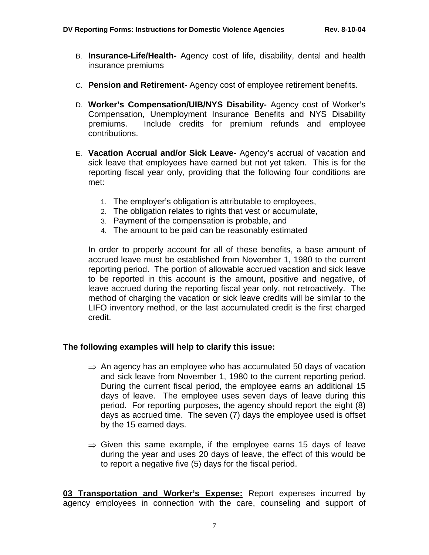- B. **Insurance-Life/Health-** Agency cost of life, disability, dental and health insurance premiums
- C. **Pension and Retirement** Agency cost of employee retirement benefits.
- D. **Worker's Compensation/UIB/NYS Disability-** Agency cost of Worker's Compensation, Unemployment Insurance Benefits and NYS Disability premiums. Include credits for premium refunds and employee contributions.
- E. **Vacation Accrual and/or Sick Leave-** Agency's accrual of vacation and sick leave that employees have earned but not yet taken. This is for the reporting fiscal year only, providing that the following four conditions are met:
	- 1. The employer's obligation is attributable to employees,
	- 2. The obligation relates to rights that vest or accumulate,
	- 3. Payment of the compensation is probable, and
	- 4. The amount to be paid can be reasonably estimated

In order to properly account for all of these benefits, a base amount of accrued leave must be established from November 1, 1980 to the current reporting period. The portion of allowable accrued vacation and sick leave to be reported in this account is the amount, positive and negative, of leave accrued during the reporting fiscal year only, not retroactively. The method of charging the vacation or sick leave credits will be similar to the LIFO inventory method, or the last accumulated credit is the first charged credit.

### **The following examples will help to clarify this issue:**

- $\Rightarrow$  An agency has an employee who has accumulated 50 days of vacation and sick leave from November 1, 1980 to the current reporting period. During the current fiscal period, the employee earns an additional 15 days of leave. The employee uses seven days of leave during this period. For reporting purposes, the agency should report the eight (8) days as accrued time. The seven (7) days the employee used is offset by the 15 earned days.
- $\Rightarrow$  Given this same example, if the employee earns 15 days of leave during the year and uses 20 days of leave, the effect of this would be to report a negative five (5) days for the fiscal period.

**03 Transportation and Worker's Expense:** Report expenses incurred by agency employees in connection with the care, counseling and support of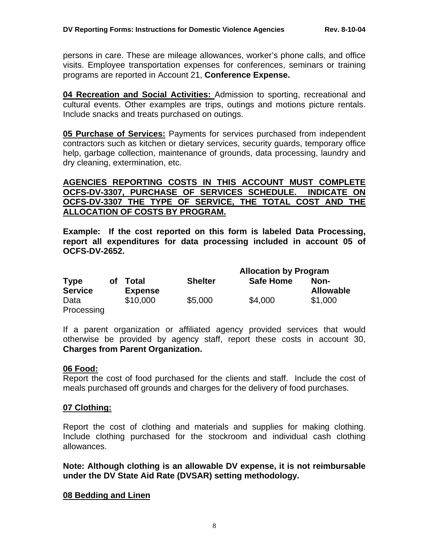persons in care. These are mileage allowances, worker's phone calls, and office visits. Employee transportation expenses for conferences, seminars or training programs are reported in Account 21, **Conference Expense.** 

**04 Recreation and Social Activities:** Admission to sporting, recreational and cultural events. Other examples are trips, outings and motions picture rentals. Include snacks and treats purchased on outings.

**05 Purchase of Services:** Payments for services purchased from independent contractors such as kitchen or dietary services, security guards, temporary office help, garbage collection, maintenance of grounds, data processing, laundry and dry cleaning, extermination, etc.

### **AGENCIES REPORTING COSTS IN THIS ACCOUNT MUST COMPLETE OCFS-DV-3307, PURCHASE OF SERVICES SCHEDULE. INDICATE ON OCFS-DV-3307 THE TYPE OF SERVICE, THE TOTAL COST AND THE ALLOCATION OF COSTS BY PROGRAM.**

**Example: If the cost reported on this form is labeled Data Processing, report all expenditures for data processing included in account 05 of OCFS-DV-2652.** 

|                |    |                |                | <b>Allocation by Program</b> |                  |
|----------------|----|----------------|----------------|------------------------------|------------------|
| <b>Type</b>    | οf | Total          | <b>Shelter</b> | <b>Safe Home</b>             | Non-             |
| <b>Service</b> |    | <b>Expense</b> |                |                              | <b>Allowable</b> |
| Data           |    | \$10,000       | \$5,000        | \$4,000                      | \$1,000          |
| Processing     |    |                |                |                              |                  |

If a parent organization or affiliated agency provided services that would otherwise be provided by agency staff, report these costs in account 30, **Charges from Parent Organization.**

### **06 Food:**

Report the cost of food purchased for the clients and staff. Include the cost of meals purchased off grounds and charges for the delivery of food purchases.

### **07 Clothing:**

Report the cost of clothing and materials and supplies for making clothing. Include clothing purchased for the stockroom and individual cash clothing allowances.

**Note: Although clothing is an allowable DV expense, it is not reimbursable under the DV State Aid Rate (DVSAR) setting methodology.** 

#### **08 Bedding and Linen**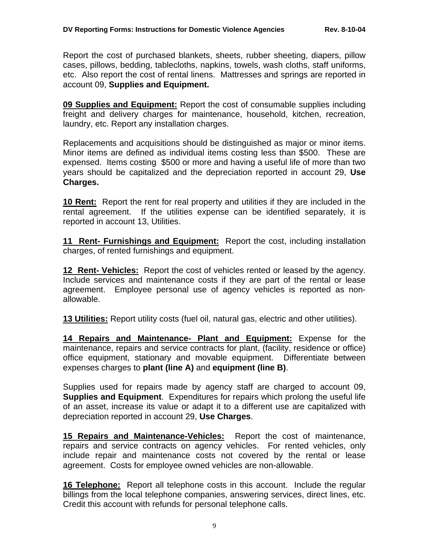Report the cost of purchased blankets, sheets, rubber sheeting, diapers, pillow cases, pillows, bedding, tablecloths, napkins, towels, wash cloths, staff uniforms, etc. Also report the cost of rental linens. Mattresses and springs are reported in account 09, **Supplies and Equipment.** 

**09 Supplies and Equipment:** Report the cost of consumable supplies including freight and delivery charges for maintenance, household, kitchen, recreation, laundry, etc. Report any installation charges.

Replacements and acquisitions should be distinguished as major or minor items. Minor items are defined as individual items costing less than \$500. These are expensed. Items costing \$500 or more and having a useful life of more than two years should be capitalized and the depreciation reported in account 29, **Use Charges.** 

**10 Rent:** Report the rent for real property and utilities if they are included in the rental agreement. If the utilities expense can be identified separately, it is reported in account 13, Utilities.

**11 Rent- Furnishings and Equipment:** Report the cost, including installation charges, of rented furnishings and equipment.

**12 Rent- Vehicles:** Report the cost of vehicles rented or leased by the agency. Include services and maintenance costs if they are part of the rental or lease agreement. Employee personal use of agency vehicles is reported as nonallowable.

**13 Utilities:** Report utility costs (fuel oil, natural gas, electric and other utilities).

**14 Repairs and Maintenance- Plant and Equipment:** Expense for the maintenance, repairs and service contracts for plant, (facility, residence or office) office equipment, stationary and movable equipment. Differentiate between expenses charges to **plant (line A)** and **equipment (line B)**.

Supplies used for repairs made by agency staff are charged to account 09, **Supplies and Equipment**. Expenditures for repairs which prolong the useful life of an asset, increase its value or adapt it to a different use are capitalized with depreciation reported in account 29, **Use Charges**.

**15 Repairs and Maintenance-Vehicles:** Report the cost of maintenance, repairs and service contracts on agency vehicles. For rented vehicles, only include repair and maintenance costs not covered by the rental or lease agreement. Costs for employee owned vehicles are non-allowable.

**16 Telephone:** Report all telephone costs in this account. Include the regular billings from the local telephone companies, answering services, direct lines, etc. Credit this account with refunds for personal telephone calls.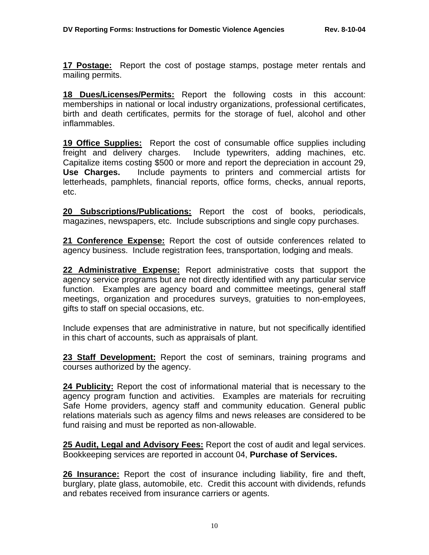**17 Postage:** Report the cost of postage stamps, postage meter rentals and mailing permits.

**18 Dues/Licenses/Permits:** Report the following costs in this account: memberships in national or local industry organizations, professional certificates, birth and death certificates, permits for the storage of fuel, alcohol and other inflammables.

**19 Office Supplies:** Report the cost of consumable office supplies including freight and delivery charges. Include typewriters, adding machines, etc. Capitalize items costing \$500 or more and report the depreciation in account 29, **Use Charges.** Include payments to printers and commercial artists for letterheads, pamphlets, financial reports, office forms, checks, annual reports, etc.

**20 Subscriptions/Publications:** Report the cost of books, periodicals, magazines, newspapers, etc. Include subscriptions and single copy purchases.

**21 Conference Expense:** Report the cost of outside conferences related to agency business. Include registration fees, transportation, lodging and meals.

**22 Administrative Expense:** Report administrative costs that support the agency service programs but are not directly identified with any particular service function. Examples are agency board and committee meetings, general staff meetings, organization and procedures surveys, gratuities to non-employees, gifts to staff on special occasions, etc.

Include expenses that are administrative in nature, but not specifically identified in this chart of accounts, such as appraisals of plant.

23 Staff Development: Report the cost of seminars, training programs and courses authorized by the agency.

**24 Publicity:** Report the cost of informational material that is necessary to the agency program function and activities. Examples are materials for recruiting Safe Home providers, agency staff and community education. General public relations materials such as agency films and news releases are considered to be fund raising and must be reported as non-allowable.

**25 Audit, Legal and Advisory Fees:** Report the cost of audit and legal services. Bookkeeping services are reported in account 04, **Purchase of Services.**

**26 Insurance:** Report the cost of insurance including liability, fire and theft, burglary, plate glass, automobile, etc. Credit this account with dividends, refunds and rebates received from insurance carriers or agents.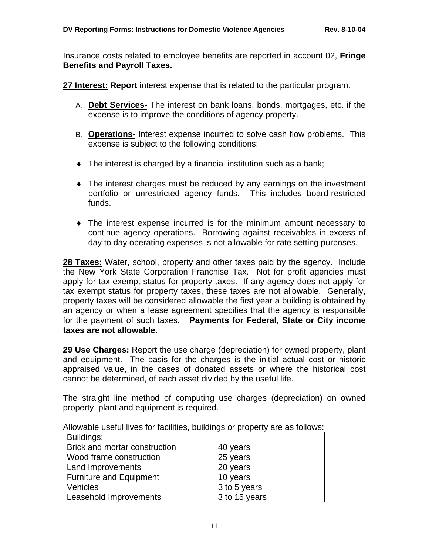Insurance costs related to employee benefits are reported in account 02, **Fringe Benefits and Payroll Taxes.** 

**27 Interest: Report** interest expense that is related to the particular program.

- A. **Debt Services-** The interest on bank loans, bonds, mortgages, etc. if the expense is to improve the conditions of agency property.
- B. **Operations-** Interest expense incurred to solve cash flow problems. This expense is subject to the following conditions:
- $\bullet$  The interest is charged by a financial institution such as a bank;
- ♦ The interest charges must be reduced by any earnings on the investment portfolio or unrestricted agency funds. This includes board-restricted funds.
- ♦ The interest expense incurred is for the minimum amount necessary to continue agency operations. Borrowing against receivables in excess of day to day operating expenses is not allowable for rate setting purposes.

**28 Taxes:** Water, school, property and other taxes paid by the agency. Include the New York State Corporation Franchise Tax. Not for profit agencies must apply for tax exempt status for property taxes. If any agency does not apply for tax exempt status for property taxes, these taxes are not allowable. Generally, property taxes will be considered allowable the first year a building is obtained by an agency or when a lease agreement specifies that the agency is responsible for the payment of such taxes. **Payments for Federal, State or City income taxes are not allowable.** 

**29 Use Charges:** Report the use charge (depreciation) for owned property, plant and equipment. The basis for the charges is the initial actual cost or historic appraised value, in the cases of donated assets or where the historical cost cannot be determined, of each asset divided by the useful life.

The straight line method of computing use charges (depreciation) on owned property, plant and equipment is required.

| Buildings:                     |               |
|--------------------------------|---------------|
| Brick and mortar construction  | 40 years      |
| Wood frame construction        | 25 years      |
| <b>Land Improvements</b>       | 20 years      |
| <b>Furniture and Equipment</b> | 10 years      |
| Vehicles                       | 3 to 5 years  |
| Leasehold Improvements         | 3 to 15 years |

Allowable useful lives for facilities, buildings or property are as follows: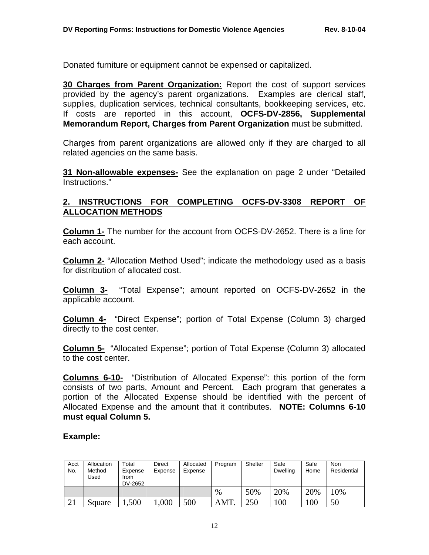Donated furniture or equipment cannot be expensed or capitalized.

**30 Charges from Parent Organization:** Report the cost of support services provided by the agency's parent organizations. Examples are clerical staff, supplies, duplication services, technical consultants, bookkeeping services, etc. If costs are reported in this account, **OCFS-DV-2856, Supplemental Memorandum Report, Charges from Parent Organization** must be submitted.

Charges from parent organizations are allowed only if they are charged to all related agencies on the same basis.

**31 Non-allowable expenses-** See the explanation on page 2 under "Detailed Instructions."

### **2. INSTRUCTIONS FOR COMPLETING OCFS-DV-3308 REPORT OF ALLOCATION METHODS**

**Column 1-** The number for the account from OCFS-DV-2652. There is a line for each account.

**Column 2-** "Allocation Method Used"; indicate the methodology used as a basis for distribution of allocated cost.

**Column 3-** "Total Expense"; amount reported on OCFS-DV-2652 in the applicable account.

**Column 4-** "Direct Expense"; portion of Total Expense (Column 3) charged directly to the cost center.

**Column 5-** "Allocated Expense"; portion of Total Expense (Column 3) allocated to the cost center.

**Columns 6-10-** "Distribution of Allocated Expense": this portion of the form consists of two parts, Amount and Percent. Each program that generates a portion of the Allocated Expense should be identified with the percent of Allocated Expense and the amount that it contributes. **NOTE: Columns 6-10 must equal Column 5.**

### **Example:**

| Acct<br>No. | Allocation<br>Method<br>Used | Total<br>Expense<br>from<br>DV-2652 | Direct<br>Expense | Allocated<br>Expense | Program | Shelter | Safe<br><b>Dwelling</b> | Safe<br>Home | <b>Non</b><br>Residential |
|-------------|------------------------------|-------------------------------------|-------------------|----------------------|---------|---------|-------------------------|--------------|---------------------------|
|             |                              |                                     |                   |                      | $\%$    | 50%     | 20%                     | 20%          | 10%                       |
| 21          | Square                       | 0.500                               | ,000              | 500                  | AMT     | 250     | $_{00}$                 | 00           | 50                        |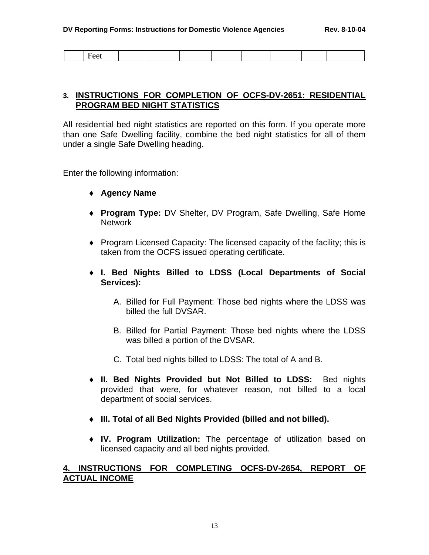| $H\Omega^{\prime}$<br>્∪ા |  |  |  |  |
|---------------------------|--|--|--|--|

## **3. INSTRUCTIONS FOR COMPLETION OF OCFS-DV-2651: RESIDENTIAL PROGRAM BED NIGHT STATISTICS**

All residential bed night statistics are reported on this form. If you operate more than one Safe Dwelling facility, combine the bed night statistics for all of them under a single Safe Dwelling heading.

Enter the following information:

- ♦ **Agency Name**
- ♦ **Program Type:** DV Shelter, DV Program, Safe Dwelling, Safe Home Network
- ♦ Program Licensed Capacity: The licensed capacity of the facility; this is taken from the OCFS issued operating certificate.
- ♦ **I. Bed Nights Billed to LDSS (Local Departments of Social Services):** 
	- A. Billed for Full Payment: Those bed nights where the LDSS was billed the full DVSAR.
	- B. Billed for Partial Payment: Those bed nights where the LDSS was billed a portion of the DVSAR.
	- C. Total bed nights billed to LDSS: The total of A and B.
- ♦ **II. Bed Nights Provided but Not Billed to LDSS:** Bed nights provided that were, for whatever reason, not billed to a local department of social services.
- ♦ **III. Total of all Bed Nights Provided (billed and not billed).**
- ♦ **IV. Program Utilization:** The percentage of utilization based on licensed capacity and all bed nights provided.

### **4. INSTRUCTIONS FOR COMPLETING OCFS-DV-2654, REPORT OF ACTUAL INCOME**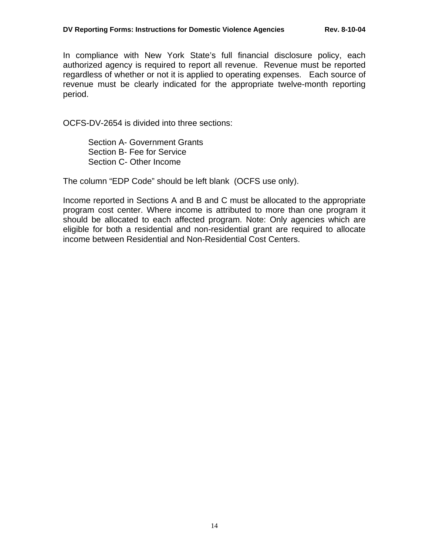In compliance with New York State's full financial disclosure policy, each authorized agency is required to report all revenue. Revenue must be reported regardless of whether or not it is applied to operating expenses. Each source of revenue must be clearly indicated for the appropriate twelve-month reporting period.

OCFS-DV-2654 is divided into three sections:

 Section A- Government Grants Section B- Fee for Service Section C- Other Income

The column "EDP Code" should be left blank (OCFS use only).

Income reported in Sections A and B and C must be allocated to the appropriate program cost center. Where income is attributed to more than one program it should be allocated to each affected program. Note: Only agencies which are eligible for both a residential and non-residential grant are required to allocate income between Residential and Non-Residential Cost Centers.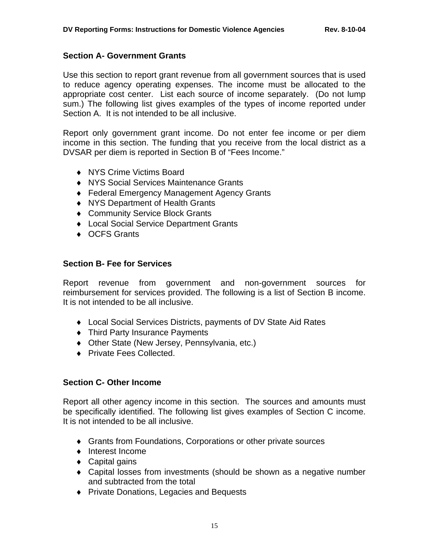#### **Section A- Government Grants**

Use this section to report grant revenue from all government sources that is used to reduce agency operating expenses. The income must be allocated to the appropriate cost center. List each source of income separately. (Do not lump sum.) The following list gives examples of the types of income reported under Section A. It is not intended to be all inclusive.

Report only government grant income. Do not enter fee income or per diem income in this section. The funding that you receive from the local district as a DVSAR per diem is reported in Section B of "Fees Income."

- ♦ NYS Crime Victims Board
- ♦ NYS Social Services Maintenance Grants
- ♦ Federal Emergency Management Agency Grants
- ♦ NYS Department of Health Grants
- ♦ Community Service Block Grants
- ♦ Local Social Service Department Grants
- ◆ OCFS Grants

### **Section B- Fee for Services**

Report revenue from government and non-government sources for reimbursement for services provided. The following is a list of Section B income. It is not intended to be all inclusive.

- ♦ Local Social Services Districts, payments of DV State Aid Rates
- ♦ Third Party Insurance Payments
- ♦ Other State (New Jersey, Pennsylvania, etc.)
- ♦ Private Fees Collected.

### **Section C- Other Income**

Report all other agency income in this section. The sources and amounts must be specifically identified. The following list gives examples of Section C income. It is not intended to be all inclusive.

- ♦ Grants from Foundations, Corporations or other private sources
- ♦ Interest Income
- $\bullet$  Capital gains
- ♦ Capital losses from investments (should be shown as a negative number and subtracted from the total
- ♦ Private Donations, Legacies and Bequests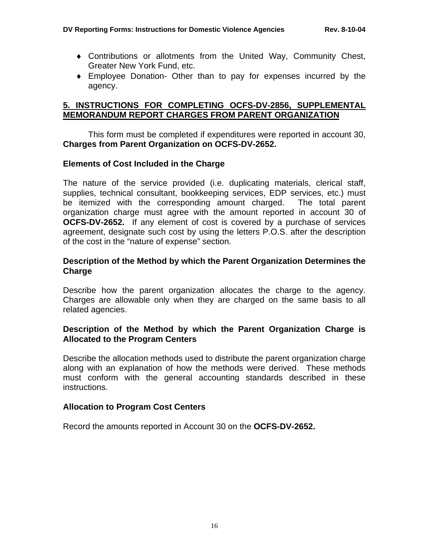- ♦ Contributions or allotments from the United Way, Community Chest, Greater New York Fund, etc.
- ♦ Employee Donation- Other than to pay for expenses incurred by the agency.

## **5. INSTRUCTIONS FOR COMPLETING OCFS-DV-2856, SUPPLEMENTAL MEMORANDUM REPORT CHARGES FROM PARENT ORGANIZATION**

 This form must be completed if expenditures were reported in account 30, **Charges from Parent Organization on OCFS-DV-2652.**

#### **Elements of Cost Included in the Charge**

The nature of the service provided (i.e. duplicating materials, clerical staff, supplies, technical consultant, bookkeeping services, EDP services, etc.) must be itemized with the corresponding amount charged. The total parent organization charge must agree with the amount reported in account 30 of **OCFS-DV-2652.** If any element of cost is covered by a purchase of services agreement, designate such cost by using the letters P.O.S. after the description of the cost in the "nature of expense" section.

### **Description of the Method by which the Parent Organization Determines the Charge**

Describe how the parent organization allocates the charge to the agency. Charges are allowable only when they are charged on the same basis to all related agencies.

### **Description of the Method by which the Parent Organization Charge is Allocated to the Program Centers**

Describe the allocation methods used to distribute the parent organization charge along with an explanation of how the methods were derived. These methods must conform with the general accounting standards described in these instructions.

### **Allocation to Program Cost Centers**

Record the amounts reported in Account 30 on the **OCFS-DV-2652.**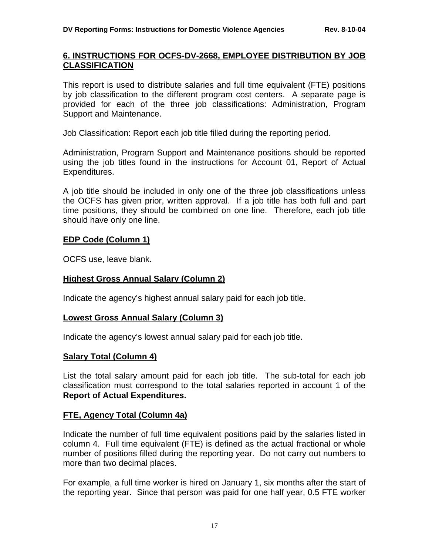### **6. INSTRUCTIONS FOR OCFS-DV-2668, EMPLOYEE DISTRIBUTION BY JOB CLASSIFICATION**

This report is used to distribute salaries and full time equivalent (FTE) positions by job classification to the different program cost centers. A separate page is provided for each of the three job classifications: Administration, Program Support and Maintenance.

Job Classification: Report each job title filled during the reporting period.

Administration, Program Support and Maintenance positions should be reported using the job titles found in the instructions for Account 01, Report of Actual Expenditures.

A job title should be included in only one of the three job classifications unless the OCFS has given prior, written approval. If a job title has both full and part time positions, they should be combined on one line. Therefore, each job title should have only one line.

#### **EDP Code (Column 1)**

OCFS use, leave blank.

### **Highest Gross Annual Salary (Column 2)**

Indicate the agency's highest annual salary paid for each job title.

### **Lowest Gross Annual Salary (Column 3)**

Indicate the agency's lowest annual salary paid for each job title.

### **Salary Total (Column 4)**

List the total salary amount paid for each job title. The sub-total for each job classification must correspond to the total salaries reported in account 1 of the **Report of Actual Expenditures.**

### **FTE, Agency Total (Column 4a)**

Indicate the number of full time equivalent positions paid by the salaries listed in column 4. Full time equivalent (FTE) is defined as the actual fractional or whole number of positions filled during the reporting year. Do not carry out numbers to more than two decimal places.

For example, a full time worker is hired on January 1, six months after the start of the reporting year. Since that person was paid for one half year, 0.5 FTE worker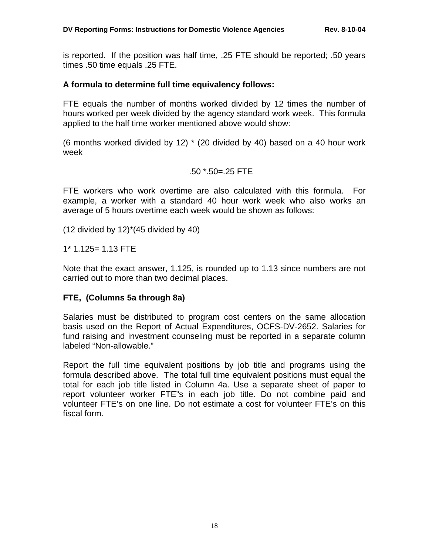is reported. If the position was half time, .25 FTE should be reported; .50 years times .50 time equals .25 FTE.

### **A formula to determine full time equivalency follows:**

FTE equals the number of months worked divided by 12 times the number of hours worked per week divided by the agency standard work week. This formula applied to the half time worker mentioned above would show:

(6 months worked divided by 12) \* (20 divided by 40) based on a 40 hour work week

#### .50 \*.50=.25 FTE

FTE workers who work overtime are also calculated with this formula. For example, a worker with a standard 40 hour work week who also works an average of 5 hours overtime each week would be shown as follows:

 $(12$  divided by  $12$ <sup>\*</sup> $(45$  divided by  $40)$ 

1\* 1.125= 1.13 FTE

Note that the exact answer, 1.125, is rounded up to 1.13 since numbers are not carried out to more than two decimal places.

### **FTE, (Columns 5a through 8a)**

Salaries must be distributed to program cost centers on the same allocation basis used on the Report of Actual Expenditures, OCFS-DV-2652. Salaries for fund raising and investment counseling must be reported in a separate column labeled "Non-allowable."

Report the full time equivalent positions by job title and programs using the formula described above. The total full time equivalent positions must equal the total for each job title listed in Column 4a. Use a separate sheet of paper to report volunteer worker FTE"s in each job title. Do not combine paid and volunteer FTE's on one line. Do not estimate a cost for volunteer FTE's on this fiscal form.